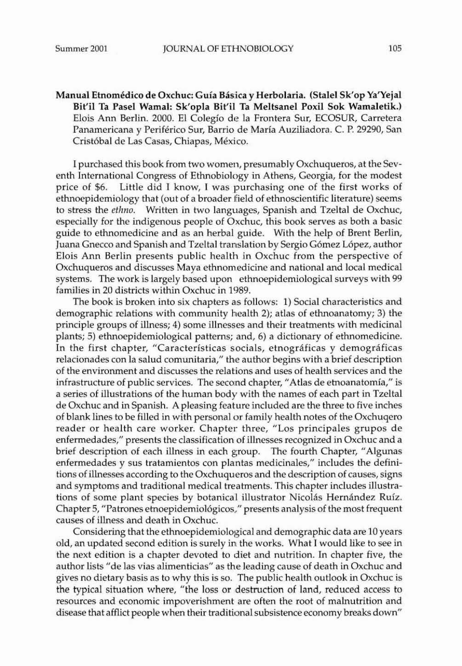Manual Etnomédico de Oxchuc: Guía Básica y Herbolaria. (Stalel Sk'op Ya'Yejal Bit'i1 Ta Pasel Wamal: Sk'opla Bit'iI Ta Meltsanel Poxil Sok Wamaletik.) Elois Ann Berlin. 2000. El Coleglo de la Frontera Sur, ECOSUR, Carretera Panamericana y Periferico Sur, Barrio de Maria Auziliadora. C. P. 29290, San Crist6bal de Las Casas, Chiapas, Mexico.

I purchased this book from two women, presumably Oxchuqueros, at the Seventh International Congress of Ethnobiology in Athens, Georgia, for the modest price of \$6. Little did I know, I was purchasing one of the first works of ethnoepidemiology that (out of a broader field of ethnoscientific literature) seems to stress the *et/mo.* Written in two languages, Spanish and Tzeltal de Oxchuc, especially for the indigenous people of Oxchuc, this book serves as both a basic guide to ethnomedicine and as an herbal guide. With the help of Brent Berlin, Juana Gnecco and Spanish and Tzeltal translation by Sergio G6mez Lopez, author Elois Ann Berlin presents public health in Oxchuc from the perspective of Oxchuqueros and discusses Maya ethnomedicine and national and local medical systems. The work is largely based upon ethnoepidemiological surveys with 99 families in 20 districts within Oxchuc in 1989.

The book is broken into six chapters as follows: 1) Social characteristics and demographic relations with community health 2); atlas of ethnoanatomy; 3) the principle groups of illness; 4) some illnesses and their treatments with medicinal plants; 5) ethnoepidemiological patterns; and, 6) a dictionary of ethnomedicinc. In the first chapter, "Características socials, etnográficas y demográficas relacionades can la salud comunitaria," the author begins with a brief description of the environment and discusses the relations and uses of health services and the infrastructure of public services. The second chapter, "Atlas de etnoanatomia," is a series of illustrations of the human body with the names of each part in Tzeltal de Oxchuc and in Spanish. A pleasing feature included arc the three to five inches of blank lines to be filled in with personal or family health notes of the Oxchuqero reader or health care worker. Chapter three, "Los principales grupos de enfermedades," presents the classification of illnesses recognized in Oxchuc and a brief description of each illness in each group. The fourth Chapter, "Algunas enfermedades y sus tratamientos con plantas medicinales," includes the definitions of illnesses according to the Oxchuqueros and the description of causes, signs and symptoms and traditional medical treatments. This chapter includes illustra· tions of some plant species by botanical illustrator Nicolás Hernández Ruíz. Chapter 5, "Patrones etnoepidemioI6gicos.." presents analysis of the most frequent causes of illness and death in Oxchuc.

Considering that the ethnoepidemiological and demographic data are 10 years old, an updated second edition is surely in the works. What I would like to see in the next edition is a chapter devoted to diet and nutrition. In chapter five, the author lists "de las vias alimenticias" as the leading cause of death in Oxchuc and gives no dietary basis as to why this is so. The public health outlook in Oxchuc is the typical situation where, "the loss or destruction of land, reduced access to resources and economic impoverishment are often the root of malnutrition and disease that afflict people when their traditional subsistence economy breaks down"